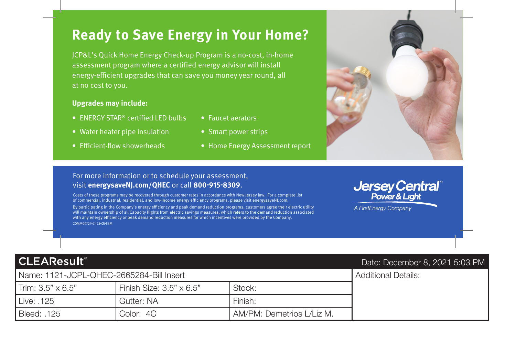# **Ready to Save Energy in Your Home?**

JCP&L's Quick Home Energy Check-up Program is a no-cost, in-home assessment program where a certified energy advisor will install energy-efficient upgrades that can save you money year round, all at no cost to you.

### **Upgrades may include:**

- ENERGY STAR<sup>®</sup> certified LED bulbs
- Water heater pipe insulation
- Efficient-flow showerheads
- Faucet aerators
- Smart power strips
- Home Energy Assessment report

## For more information or to schedule your assessment, visit **energysaveNJ.com/QHEC** or call **800-915-8309**.

Costs of these programs may be recovered through customer rates in accordance with New Jersey law. For a complete list of commercial, industrial, residential, and low-income energy efficiency programs, please visit energysaveNJ.com.

By participating in the Company's energy efficiency and peak demand reduction programs, customers agree their electric utility will maintain ownership of all Capacity Rights from electric savings measures, which refers to the demand reduction associated with any energy efficiency or peak demand reduction measures for which incentives were provided by the Company. COMM09727-01-22-CR-S3M

## **CLEAResult®**

### Name: 1121-JCPL-QHEC-2665284-Bill Insert Additional Details:

| Trim: $3.5" \times 6.5"$ | Finish Size: $3.5" \times 6.5"$ | Stock:                    |  |
|--------------------------|---------------------------------|---------------------------|--|
| Live: .125               | Gutter: NA                      | Finish:                   |  |
| Bleed: .125              | Color: 4C                       | AM/PM: Demetrios L/Liz M. |  |





A FirstEnergy Company

## Date: December 8, 2021 5:03 PM